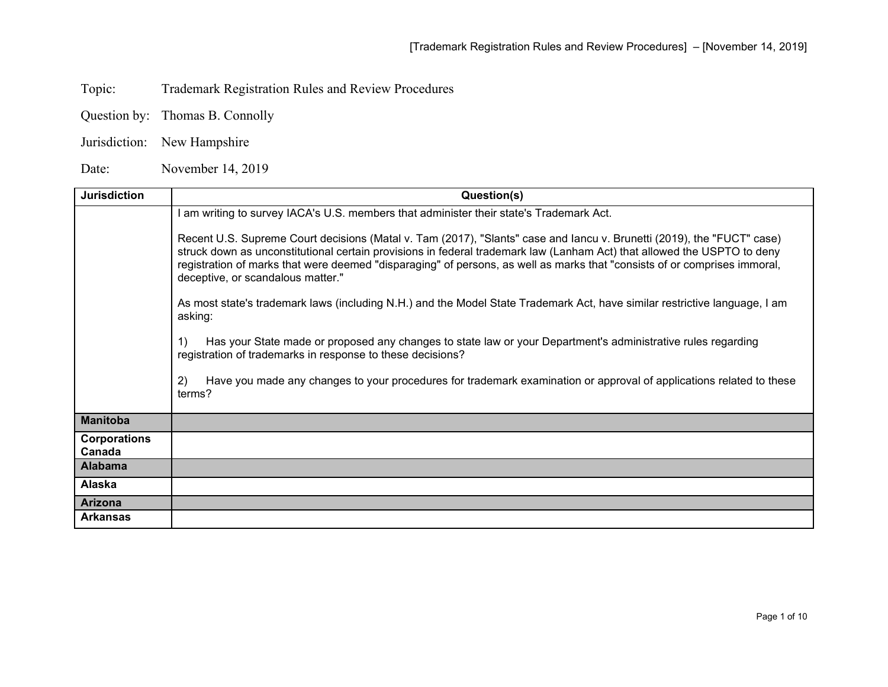Topic: Trademark Registration Rules and Review Procedures

Question by: Thomas B. Connolly

Jurisdiction: New Hampshire

Date: November 14, 2019

| <b>Jurisdiction</b>           | Question(s)                                                                                                                                                                                                                                                                                                                                                                                                         |
|-------------------------------|---------------------------------------------------------------------------------------------------------------------------------------------------------------------------------------------------------------------------------------------------------------------------------------------------------------------------------------------------------------------------------------------------------------------|
|                               | am writing to survey IACA's U.S. members that administer their state's Trademark Act.                                                                                                                                                                                                                                                                                                                               |
|                               | Recent U.S. Supreme Court decisions (Matal v. Tam (2017), "Slants" case and lancu v. Brunetti (2019), the "FUCT" case)<br>struck down as unconstitutional certain provisions in federal trademark law (Lanham Act) that allowed the USPTO to deny<br>registration of marks that were deemed "disparaging" of persons, as well as marks that "consists of or comprises immoral,<br>deceptive, or scandalous matter." |
|                               | As most state's trademark laws (including N.H.) and the Model State Trademark Act, have similar restrictive language, I am<br>asking:                                                                                                                                                                                                                                                                               |
|                               | Has your State made or proposed any changes to state law or your Department's administrative rules regarding<br>1)<br>registration of trademarks in response to these decisions?                                                                                                                                                                                                                                    |
|                               | Have you made any changes to your procedures for trademark examination or approval of applications related to these<br>2)<br>terms?                                                                                                                                                                                                                                                                                 |
| <b>Manitoba</b>               |                                                                                                                                                                                                                                                                                                                                                                                                                     |
| <b>Corporations</b><br>Canada |                                                                                                                                                                                                                                                                                                                                                                                                                     |
| <b>Alabama</b>                |                                                                                                                                                                                                                                                                                                                                                                                                                     |
| <b>Alaska</b>                 |                                                                                                                                                                                                                                                                                                                                                                                                                     |
| <b>Arizona</b>                |                                                                                                                                                                                                                                                                                                                                                                                                                     |
| <b>Arkansas</b>               |                                                                                                                                                                                                                                                                                                                                                                                                                     |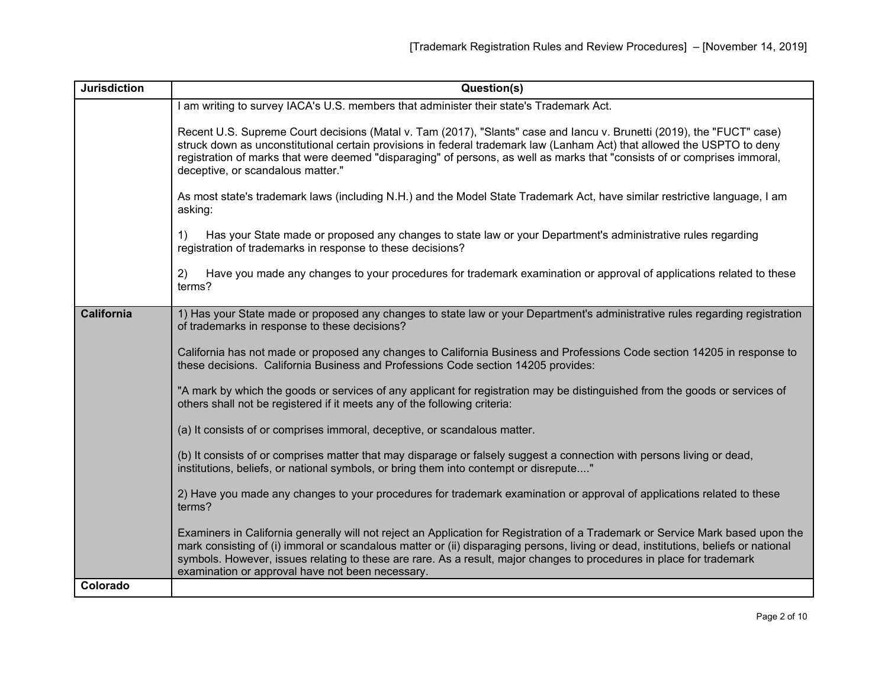| <b>Jurisdiction</b> | Question(s)                                                                                                                                                                                                                                                                                                                                                                                                                                       |
|---------------------|---------------------------------------------------------------------------------------------------------------------------------------------------------------------------------------------------------------------------------------------------------------------------------------------------------------------------------------------------------------------------------------------------------------------------------------------------|
|                     | am writing to survey IACA's U.S. members that administer their state's Trademark Act.                                                                                                                                                                                                                                                                                                                                                             |
|                     | Recent U.S. Supreme Court decisions (Matal v. Tam (2017), "Slants" case and lancu v. Brunetti (2019), the "FUCT" case)<br>struck down as unconstitutional certain provisions in federal trademark law (Lanham Act) that allowed the USPTO to deny<br>registration of marks that were deemed "disparaging" of persons, as well as marks that "consists of or comprises immoral,<br>deceptive, or scandalous matter."                               |
|                     | As most state's trademark laws (including N.H.) and the Model State Trademark Act, have similar restrictive language, I am<br>asking:                                                                                                                                                                                                                                                                                                             |
|                     | Has your State made or proposed any changes to state law or your Department's administrative rules regarding<br>1)<br>registration of trademarks in response to these decisions?                                                                                                                                                                                                                                                                  |
|                     | Have you made any changes to your procedures for trademark examination or approval of applications related to these<br>2)<br>terms?                                                                                                                                                                                                                                                                                                               |
| <b>California</b>   | 1) Has your State made or proposed any changes to state law or your Department's administrative rules regarding registration<br>of trademarks in response to these decisions?                                                                                                                                                                                                                                                                     |
|                     | California has not made or proposed any changes to California Business and Professions Code section 14205 in response to<br>these decisions. California Business and Professions Code section 14205 provides:                                                                                                                                                                                                                                     |
|                     | "A mark by which the goods or services of any applicant for registration may be distinguished from the goods or services of<br>others shall not be registered if it meets any of the following criteria:                                                                                                                                                                                                                                          |
|                     | (a) It consists of or comprises immoral, deceptive, or scandalous matter.                                                                                                                                                                                                                                                                                                                                                                         |
|                     | (b) It consists of or comprises matter that may disparage or falsely suggest a connection with persons living or dead,<br>institutions, beliefs, or national symbols, or bring them into contempt or disrepute"                                                                                                                                                                                                                                   |
|                     | 2) Have you made any changes to your procedures for trademark examination or approval of applications related to these<br>terms?                                                                                                                                                                                                                                                                                                                  |
|                     | Examiners in California generally will not reject an Application for Registration of a Trademark or Service Mark based upon the<br>mark consisting of (i) immoral or scandalous matter or (ii) disparaging persons, living or dead, institutions, beliefs or national<br>symbols. However, issues relating to these are rare. As a result, major changes to procedures in place for trademark<br>examination or approval have not been necessary. |
| Colorado            |                                                                                                                                                                                                                                                                                                                                                                                                                                                   |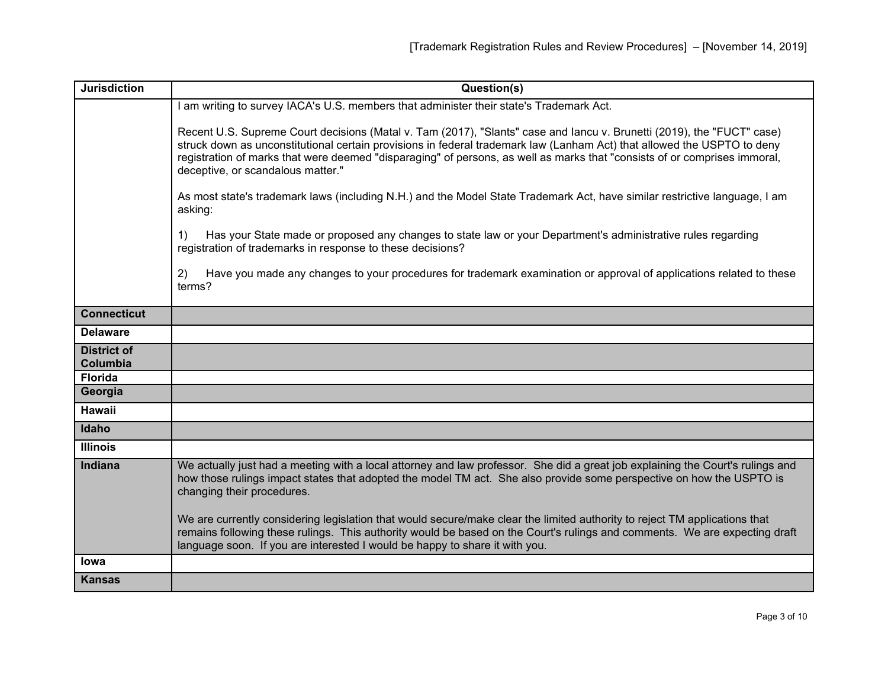| <b>Jurisdiction</b>            | Question(s)                                                                                                                                                                                                                                                                                                                                                                                                         |
|--------------------------------|---------------------------------------------------------------------------------------------------------------------------------------------------------------------------------------------------------------------------------------------------------------------------------------------------------------------------------------------------------------------------------------------------------------------|
|                                | am writing to survey IACA's U.S. members that administer their state's Trademark Act.                                                                                                                                                                                                                                                                                                                               |
|                                | Recent U.S. Supreme Court decisions (Matal v. Tam (2017), "Slants" case and lancu v. Brunetti (2019), the "FUCT" case)<br>struck down as unconstitutional certain provisions in federal trademark law (Lanham Act) that allowed the USPTO to deny<br>registration of marks that were deemed "disparaging" of persons, as well as marks that "consists of or comprises immoral,<br>deceptive, or scandalous matter." |
|                                | As most state's trademark laws (including N.H.) and the Model State Trademark Act, have similar restrictive language, I am<br>asking:                                                                                                                                                                                                                                                                               |
|                                | Has your State made or proposed any changes to state law or your Department's administrative rules regarding<br>1)<br>registration of trademarks in response to these decisions?                                                                                                                                                                                                                                    |
|                                | Have you made any changes to your procedures for trademark examination or approval of applications related to these<br>2)<br>terms?                                                                                                                                                                                                                                                                                 |
| <b>Connecticut</b>             |                                                                                                                                                                                                                                                                                                                                                                                                                     |
| <b>Delaware</b>                |                                                                                                                                                                                                                                                                                                                                                                                                                     |
| <b>District of</b><br>Columbia |                                                                                                                                                                                                                                                                                                                                                                                                                     |
| <b>Florida</b>                 |                                                                                                                                                                                                                                                                                                                                                                                                                     |
| Georgia                        |                                                                                                                                                                                                                                                                                                                                                                                                                     |
| <b>Hawaii</b>                  |                                                                                                                                                                                                                                                                                                                                                                                                                     |
| Idaho                          |                                                                                                                                                                                                                                                                                                                                                                                                                     |
| <b>Illinois</b>                |                                                                                                                                                                                                                                                                                                                                                                                                                     |
| Indiana                        | We actually just had a meeting with a local attorney and law professor. She did a great job explaining the Court's rulings and<br>how those rulings impact states that adopted the model TM act. She also provide some perspective on how the USPTO is<br>changing their procedures.                                                                                                                                |
|                                | We are currently considering legislation that would secure/make clear the limited authority to reject TM applications that<br>remains following these rulings. This authority would be based on the Court's rulings and comments. We are expecting draft<br>language soon. If you are interested I would be happy to share it with you.                                                                             |
| <b>lowa</b>                    |                                                                                                                                                                                                                                                                                                                                                                                                                     |
| <b>Kansas</b>                  |                                                                                                                                                                                                                                                                                                                                                                                                                     |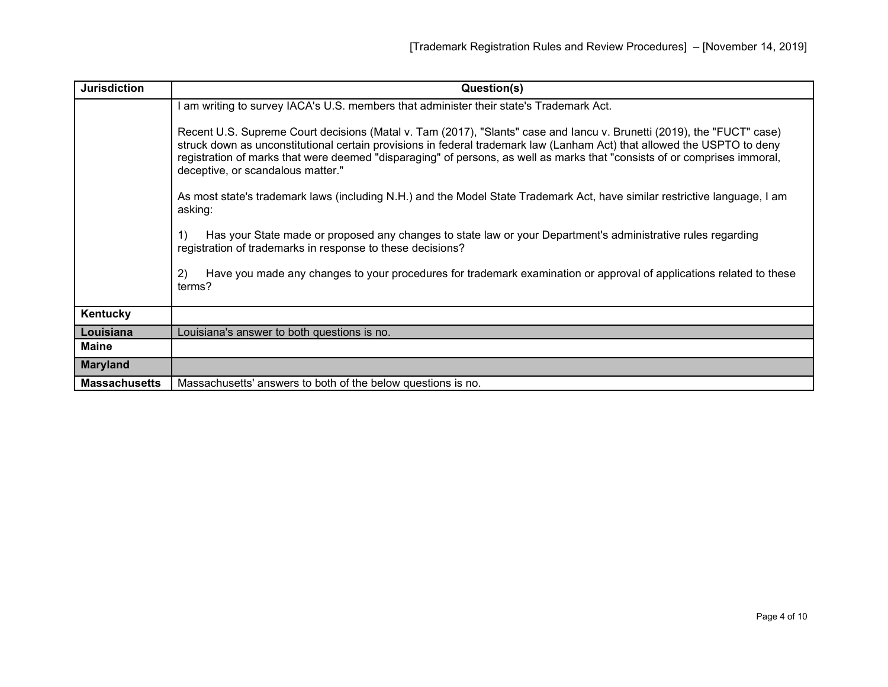| <b>Jurisdiction</b>  | Question(s)                                                                                                                                                                                                                                                                                                                                                                                                         |
|----------------------|---------------------------------------------------------------------------------------------------------------------------------------------------------------------------------------------------------------------------------------------------------------------------------------------------------------------------------------------------------------------------------------------------------------------|
|                      | am writing to survey IACA's U.S. members that administer their state's Trademark Act.                                                                                                                                                                                                                                                                                                                               |
|                      | Recent U.S. Supreme Court decisions (Matal v. Tam (2017), "Slants" case and lancu v. Brunetti (2019), the "FUCT" case)<br>struck down as unconstitutional certain provisions in federal trademark law (Lanham Act) that allowed the USPTO to deny<br>registration of marks that were deemed "disparaging" of persons, as well as marks that "consists of or comprises immoral,<br>deceptive, or scandalous matter." |
|                      | As most state's trademark laws (including N.H.) and the Model State Trademark Act, have similar restrictive language, I am<br>asking:                                                                                                                                                                                                                                                                               |
|                      | Has your State made or proposed any changes to state law or your Department's administrative rules regarding<br>1)<br>registration of trademarks in response to these decisions?                                                                                                                                                                                                                                    |
|                      | Have you made any changes to your procedures for trademark examination or approval of applications related to these<br>2)<br>terms?                                                                                                                                                                                                                                                                                 |
| Kentucky             |                                                                                                                                                                                                                                                                                                                                                                                                                     |
| Louisiana            | Louisiana's answer to both questions is no.                                                                                                                                                                                                                                                                                                                                                                         |
| <b>Maine</b>         |                                                                                                                                                                                                                                                                                                                                                                                                                     |
| <b>Maryland</b>      |                                                                                                                                                                                                                                                                                                                                                                                                                     |
| <b>Massachusetts</b> | Massachusetts' answers to both of the below questions is no.                                                                                                                                                                                                                                                                                                                                                        |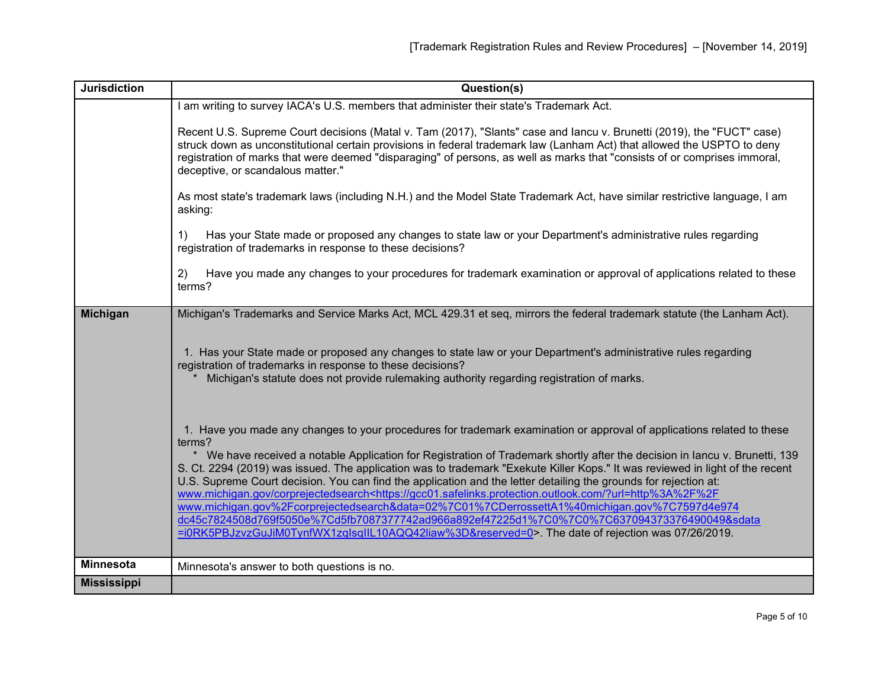| <b>Jurisdiction</b> | Question(s)                                                                                                                                                                                                                                                                                                                                                                                                                                                                                                                                                                                                                                                                                                                                                                                                                                                                                                                                                            |
|---------------------|------------------------------------------------------------------------------------------------------------------------------------------------------------------------------------------------------------------------------------------------------------------------------------------------------------------------------------------------------------------------------------------------------------------------------------------------------------------------------------------------------------------------------------------------------------------------------------------------------------------------------------------------------------------------------------------------------------------------------------------------------------------------------------------------------------------------------------------------------------------------------------------------------------------------------------------------------------------------|
|                     | I am writing to survey IACA's U.S. members that administer their state's Trademark Act.                                                                                                                                                                                                                                                                                                                                                                                                                                                                                                                                                                                                                                                                                                                                                                                                                                                                                |
|                     | Recent U.S. Supreme Court decisions (Matal v. Tam (2017), "Slants" case and lancu v. Brunetti (2019), the "FUCT" case)<br>struck down as unconstitutional certain provisions in federal trademark law (Lanham Act) that allowed the USPTO to deny<br>registration of marks that were deemed "disparaging" of persons, as well as marks that "consists of or comprises immoral,<br>deceptive, or scandalous matter."                                                                                                                                                                                                                                                                                                                                                                                                                                                                                                                                                    |
|                     | As most state's trademark laws (including N.H.) and the Model State Trademark Act, have similar restrictive language, I am<br>asking:                                                                                                                                                                                                                                                                                                                                                                                                                                                                                                                                                                                                                                                                                                                                                                                                                                  |
|                     | Has your State made or proposed any changes to state law or your Department's administrative rules regarding<br>1)<br>registration of trademarks in response to these decisions?                                                                                                                                                                                                                                                                                                                                                                                                                                                                                                                                                                                                                                                                                                                                                                                       |
|                     | Have you made any changes to your procedures for trademark examination or approval of applications related to these<br>2)<br>terms?                                                                                                                                                                                                                                                                                                                                                                                                                                                                                                                                                                                                                                                                                                                                                                                                                                    |
| <b>Michigan</b>     | Michigan's Trademarks and Service Marks Act, MCL 429.31 et seq, mirrors the federal trademark statute (the Lanham Act).                                                                                                                                                                                                                                                                                                                                                                                                                                                                                                                                                                                                                                                                                                                                                                                                                                                |
|                     | 1. Has your State made or proposed any changes to state law or your Department's administrative rules regarding<br>registration of trademarks in response to these decisions?<br>Michigan's statute does not provide rulemaking authority regarding registration of marks.                                                                                                                                                                                                                                                                                                                                                                                                                                                                                                                                                                                                                                                                                             |
|                     | 1. Have you made any changes to your procedures for trademark examination or approval of applications related to these<br>terms?<br>* We have received a notable Application for Registration of Trademark shortly after the decision in lancu v. Brunetti, 139<br>S. Ct. 2294 (2019) was issued. The application was to trademark "Exekute Killer Kops." It was reviewed in light of the recent<br>U.S. Supreme Court decision. You can find the application and the letter detailing the grounds for rejection at:<br>www.michigan.gov/corprejectedsearch <https: ?url="http%3A%2F%2F&lt;br" gcc01.safelinks.protection.outlook.com="">www.michigan.gov%2Fcorprejectedsearch&amp;data=02%7C01%7CDerrossettA1%40michigan.gov%7C7597d4e974<br/>dc45c7824508d769f5050e%7Cd5fb7087377742ad966a892ef47225d1%7C0%7C0%7C637094373376490049&amp;sdata<br/>=i0RK5PBJzvzGuJiM0TynfWX1zqlsqIIL10AQQ42liaw%3D&amp;reserved=0&gt;. The date of rejection was 07/26/2019.</https:> |
| <b>Minnesota</b>    | Minnesota's answer to both questions is no.                                                                                                                                                                                                                                                                                                                                                                                                                                                                                                                                                                                                                                                                                                                                                                                                                                                                                                                            |
| <b>Mississippi</b>  |                                                                                                                                                                                                                                                                                                                                                                                                                                                                                                                                                                                                                                                                                                                                                                                                                                                                                                                                                                        |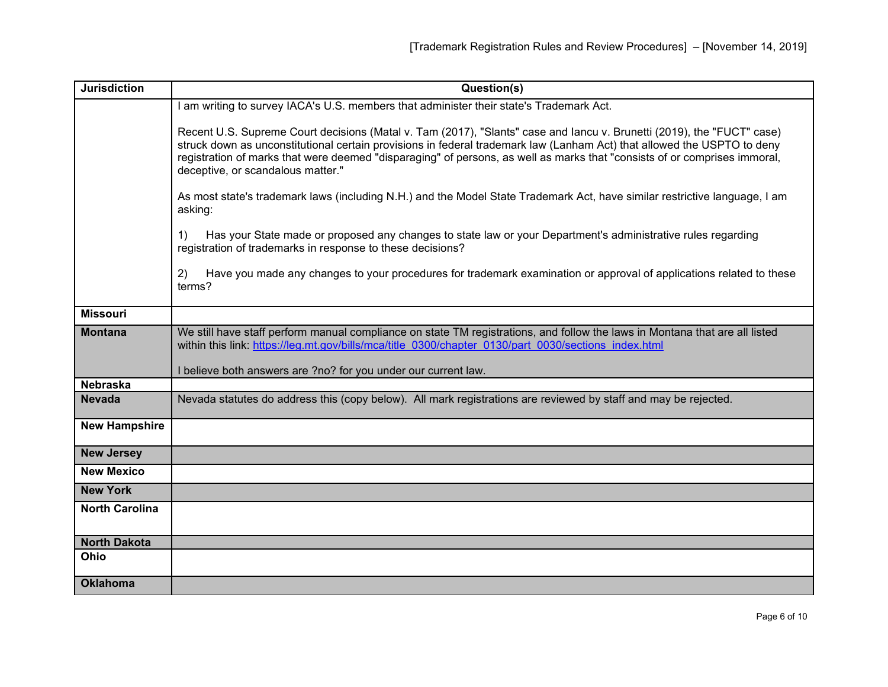| <b>Jurisdiction</b>   | Question(s)                                                                                                                                                                                                                                                                                                                                                                                                         |
|-----------------------|---------------------------------------------------------------------------------------------------------------------------------------------------------------------------------------------------------------------------------------------------------------------------------------------------------------------------------------------------------------------------------------------------------------------|
|                       | I am writing to survey IACA's U.S. members that administer their state's Trademark Act.                                                                                                                                                                                                                                                                                                                             |
|                       | Recent U.S. Supreme Court decisions (Matal v. Tam (2017), "Slants" case and lancu v. Brunetti (2019), the "FUCT" case)<br>struck down as unconstitutional certain provisions in federal trademark law (Lanham Act) that allowed the USPTO to deny<br>registration of marks that were deemed "disparaging" of persons, as well as marks that "consists of or comprises immoral,<br>deceptive, or scandalous matter." |
|                       | As most state's trademark laws (including N.H.) and the Model State Trademark Act, have similar restrictive language, I am<br>asking:                                                                                                                                                                                                                                                                               |
|                       | Has your State made or proposed any changes to state law or your Department's administrative rules regarding<br>$\left( \begin{matrix} 1 \end{matrix} \right)$<br>registration of trademarks in response to these decisions?                                                                                                                                                                                        |
|                       | Have you made any changes to your procedures for trademark examination or approval of applications related to these<br>2)<br>terms?                                                                                                                                                                                                                                                                                 |
| <b>Missouri</b>       |                                                                                                                                                                                                                                                                                                                                                                                                                     |
| <b>Montana</b>        | We still have staff perform manual compliance on state TM registrations, and follow the laws in Montana that are all listed<br>within this link: https://leg.mt.gov/bills/mca/title 0300/chapter 0130/part 0030/sections index.html<br>I believe both answers are ?no? for you under our current law.                                                                                                               |
| <b>Nebraska</b>       |                                                                                                                                                                                                                                                                                                                                                                                                                     |
| <b>Nevada</b>         | Nevada statutes do address this (copy below). All mark registrations are reviewed by staff and may be rejected.                                                                                                                                                                                                                                                                                                     |
| <b>New Hampshire</b>  |                                                                                                                                                                                                                                                                                                                                                                                                                     |
| <b>New Jersey</b>     |                                                                                                                                                                                                                                                                                                                                                                                                                     |
| <b>New Mexico</b>     |                                                                                                                                                                                                                                                                                                                                                                                                                     |
| <b>New York</b>       |                                                                                                                                                                                                                                                                                                                                                                                                                     |
| <b>North Carolina</b> |                                                                                                                                                                                                                                                                                                                                                                                                                     |
| <b>North Dakota</b>   |                                                                                                                                                                                                                                                                                                                                                                                                                     |
| Ohio                  |                                                                                                                                                                                                                                                                                                                                                                                                                     |
| <b>Oklahoma</b>       |                                                                                                                                                                                                                                                                                                                                                                                                                     |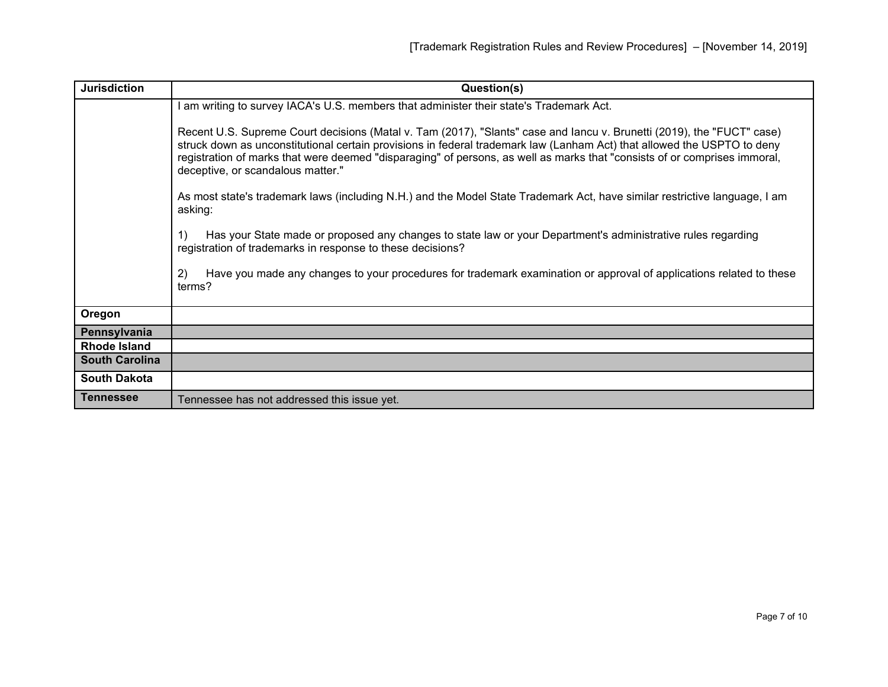| <b>Jurisdiction</b>   | Question(s)                                                                                                                                                                                                                                                                                                                                                                                                         |
|-----------------------|---------------------------------------------------------------------------------------------------------------------------------------------------------------------------------------------------------------------------------------------------------------------------------------------------------------------------------------------------------------------------------------------------------------------|
|                       | I am writing to survey IACA's U.S. members that administer their state's Trademark Act.                                                                                                                                                                                                                                                                                                                             |
|                       | Recent U.S. Supreme Court decisions (Matal v. Tam (2017), "Slants" case and lancu v. Brunetti (2019), the "FUCT" case)<br>struck down as unconstitutional certain provisions in federal trademark law (Lanham Act) that allowed the USPTO to deny<br>registration of marks that were deemed "disparaging" of persons, as well as marks that "consists of or comprises immoral,<br>deceptive, or scandalous matter." |
|                       | As most state's trademark laws (including N.H.) and the Model State Trademark Act, have similar restrictive language, I am<br>asking:                                                                                                                                                                                                                                                                               |
|                       | Has your State made or proposed any changes to state law or your Department's administrative rules regarding<br>1)<br>registration of trademarks in response to these decisions?                                                                                                                                                                                                                                    |
|                       | Have you made any changes to your procedures for trademark examination or approval of applications related to these<br>2)<br>terms?                                                                                                                                                                                                                                                                                 |
| Oregon                |                                                                                                                                                                                                                                                                                                                                                                                                                     |
| Pennsylvania          |                                                                                                                                                                                                                                                                                                                                                                                                                     |
| <b>Rhode Island</b>   |                                                                                                                                                                                                                                                                                                                                                                                                                     |
| <b>South Carolina</b> |                                                                                                                                                                                                                                                                                                                                                                                                                     |
| <b>South Dakota</b>   |                                                                                                                                                                                                                                                                                                                                                                                                                     |
| <b>Tennessee</b>      | Tennessee has not addressed this issue yet.                                                                                                                                                                                                                                                                                                                                                                         |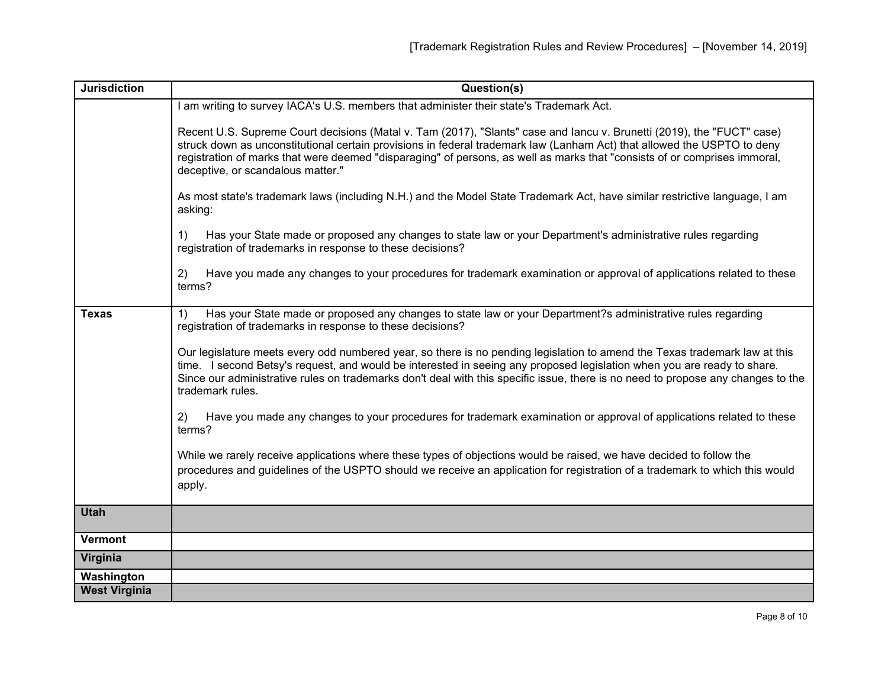| <b>Jurisdiction</b>  | Question(s)                                                                                                                                                                                                                                                                                                                                                                                                         |
|----------------------|---------------------------------------------------------------------------------------------------------------------------------------------------------------------------------------------------------------------------------------------------------------------------------------------------------------------------------------------------------------------------------------------------------------------|
|                      | I am writing to survey IACA's U.S. members that administer their state's Trademark Act.                                                                                                                                                                                                                                                                                                                             |
|                      | Recent U.S. Supreme Court decisions (Matal v. Tam (2017), "Slants" case and lancu v. Brunetti (2019), the "FUCT" case)<br>struck down as unconstitutional certain provisions in federal trademark law (Lanham Act) that allowed the USPTO to deny<br>registration of marks that were deemed "disparaging" of persons, as well as marks that "consists of or comprises immoral,<br>deceptive, or scandalous matter." |
|                      | As most state's trademark laws (including N.H.) and the Model State Trademark Act, have similar restrictive language, I am<br>asking:                                                                                                                                                                                                                                                                               |
|                      | Has your State made or proposed any changes to state law or your Department's administrative rules regarding<br>1)<br>registration of trademarks in response to these decisions?                                                                                                                                                                                                                                    |
|                      | Have you made any changes to your procedures for trademark examination or approval of applications related to these<br>2)<br>terms?                                                                                                                                                                                                                                                                                 |
| <b>Texas</b>         | Has your State made or proposed any changes to state law or your Department?s administrative rules regarding<br>1)<br>registration of trademarks in response to these decisions?                                                                                                                                                                                                                                    |
|                      | Our legislature meets every odd numbered year, so there is no pending legislation to amend the Texas trademark law at this<br>time. I second Betsy's request, and would be interested in seeing any proposed legislation when you are ready to share.<br>Since our administrative rules on trademarks don't deal with this specific issue, there is no need to propose any changes to the<br>trademark rules.       |
|                      | Have you made any changes to your procedures for trademark examination or approval of applications related to these<br>2)<br>terms?                                                                                                                                                                                                                                                                                 |
|                      | While we rarely receive applications where these types of objections would be raised, we have decided to follow the<br>procedures and guidelines of the USPTO should we receive an application for registration of a trademark to which this would<br>apply.                                                                                                                                                        |
| <b>Utah</b>          |                                                                                                                                                                                                                                                                                                                                                                                                                     |
| <b>Vermont</b>       |                                                                                                                                                                                                                                                                                                                                                                                                                     |
| Virginia             |                                                                                                                                                                                                                                                                                                                                                                                                                     |
| Washington           |                                                                                                                                                                                                                                                                                                                                                                                                                     |
| <b>West Virginia</b> |                                                                                                                                                                                                                                                                                                                                                                                                                     |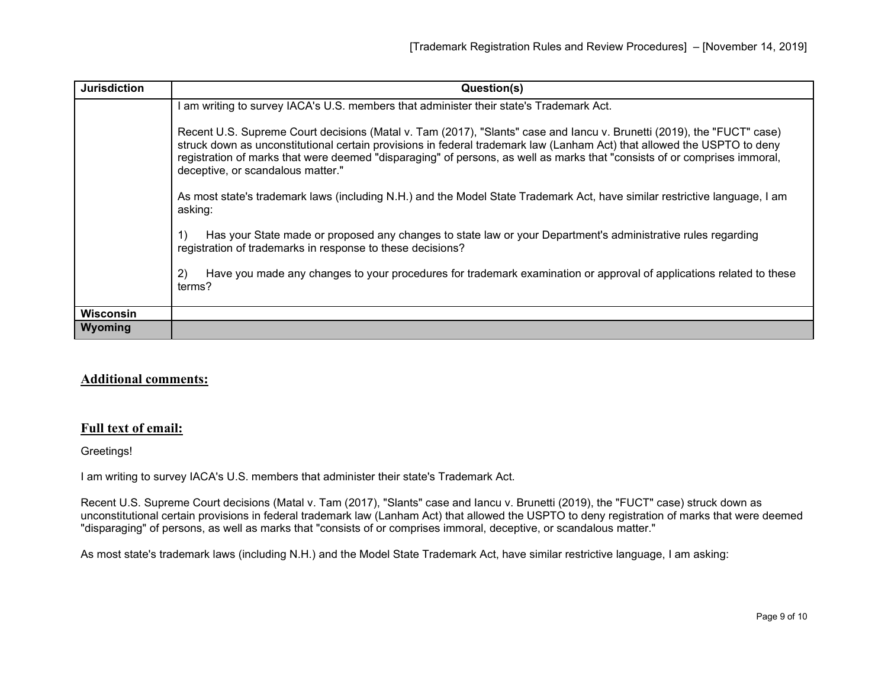| <b>Jurisdiction</b> | Question(s)                                                                                                                                                                                                                                                                                                                                                                                                         |
|---------------------|---------------------------------------------------------------------------------------------------------------------------------------------------------------------------------------------------------------------------------------------------------------------------------------------------------------------------------------------------------------------------------------------------------------------|
|                     | am writing to survey IACA's U.S. members that administer their state's Trademark Act.                                                                                                                                                                                                                                                                                                                               |
|                     | Recent U.S. Supreme Court decisions (Matal v. Tam (2017), "Slants" case and lancu v. Brunetti (2019), the "FUCT" case)<br>struck down as unconstitutional certain provisions in federal trademark law (Lanham Act) that allowed the USPTO to deny<br>registration of marks that were deemed "disparaging" of persons, as well as marks that "consists of or comprises immoral,<br>deceptive, or scandalous matter." |
|                     | As most state's trademark laws (including N.H.) and the Model State Trademark Act, have similar restrictive language, I am<br>asking:                                                                                                                                                                                                                                                                               |
|                     | Has your State made or proposed any changes to state law or your Department's administrative rules regarding<br>registration of trademarks in response to these decisions?                                                                                                                                                                                                                                          |
|                     | Have you made any changes to your procedures for trademark examination or approval of applications related to these<br>2)<br>terms?                                                                                                                                                                                                                                                                                 |
| <b>Wisconsin</b>    |                                                                                                                                                                                                                                                                                                                                                                                                                     |
| Wyoming             |                                                                                                                                                                                                                                                                                                                                                                                                                     |

## **Additional comments:**

## **Full text of email:**

Greetings!

I am writing to survey IACA's U.S. members that administer their state's Trademark Act.

Recent U.S. Supreme Court decisions (Matal v. Tam (2017), "Slants" case and Iancu v. Brunetti (2019), the "FUCT" case) struck down as unconstitutional certain provisions in federal trademark law (Lanham Act) that allowed the USPTO to deny registration of marks that were deemed "disparaging" of persons, as well as marks that "consists of or comprises immoral, deceptive, or scandalous matter."

As most state's trademark laws (including N.H.) and the Model State Trademark Act, have similar restrictive language, I am asking: